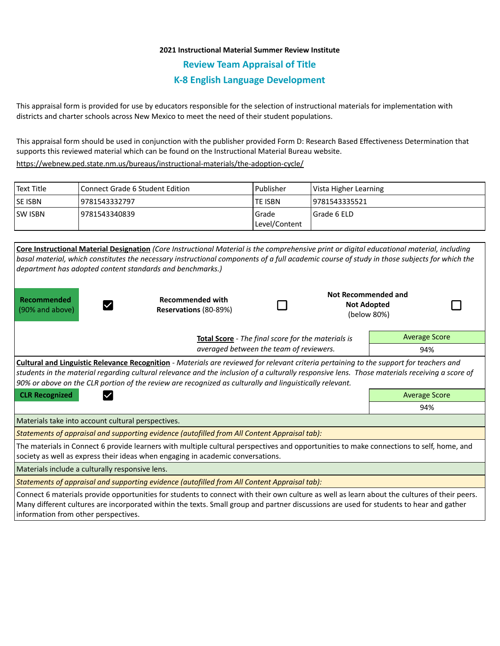## **2021 Instructional Material Summer Review Institute**

**Review Team Appraisal of Title**

# **K-8 English Language Development**

This appraisal form is provided for use by educators responsible for the selection of instructional materials for implementation with districts and charter schools across New Mexico to meet the need of their student populations.

This appraisal form should be used in conjunction with the publisher provided Form D: Research Based Effectiveness Determination that supports this reviewed material which can be found on the Instructional Material Bureau website.

<https://webnew.ped.state.nm.us/bureaus/instructional-materials/the-adoption-cycle/>

| Text Title     | <b>Connect Grade 6 Student Edition</b> | Publisher              | Vista Higher Learning |
|----------------|----------------------------------------|------------------------|-----------------------|
| <b>SE ISBN</b> | 9781543332797                          | lte ISBN               | 19781543335521        |
| <b>SW ISBN</b> | 9781543340839                          | Grade<br>Level/Content | Grade 6 ELD           |

|                                                                                                                                                                                                                                                                                                                                                                                                            | Core Instructional Material Designation (Core Instructional Material is the comprehensive print or digital educational material, including<br>basal material, which constitutes the necessary instructional components of a full academic course of study in those subjects for which the |                      |  |                                                          |  |  |  |  |
|------------------------------------------------------------------------------------------------------------------------------------------------------------------------------------------------------------------------------------------------------------------------------------------------------------------------------------------------------------------------------------------------------------|-------------------------------------------------------------------------------------------------------------------------------------------------------------------------------------------------------------------------------------------------------------------------------------------|----------------------|--|----------------------------------------------------------|--|--|--|--|
|                                                                                                                                                                                                                                                                                                                                                                                                            | department has adopted content standards and benchmarks.)                                                                                                                                                                                                                                 |                      |  |                                                          |  |  |  |  |
| Recommended<br>(90% and above)                                                                                                                                                                                                                                                                                                                                                                             | <b>Recommended with</b><br>Reservations (80-89%)                                                                                                                                                                                                                                          |                      |  | Not Recommended and<br><b>Not Adopted</b><br>(below 80%) |  |  |  |  |
|                                                                                                                                                                                                                                                                                                                                                                                                            | Total Score - The final score for the materials is                                                                                                                                                                                                                                        |                      |  | <b>Average Score</b>                                     |  |  |  |  |
| averaged between the team of reviewers.                                                                                                                                                                                                                                                                                                                                                                    |                                                                                                                                                                                                                                                                                           |                      |  | 94%                                                      |  |  |  |  |
| <b>Cultural and Linguistic Relevance Recognition</b> - Materials are reviewed for relevant criteria pertaining to the support for teachers and<br>students in the material regarding cultural relevance and the inclusion of a culturally responsive lens. Those materials receiving a score of<br>90% or above on the CLR portion of the review are recognized as culturally and linguistically relevant. |                                                                                                                                                                                                                                                                                           |                      |  |                                                          |  |  |  |  |
| <b>CLR Recognized</b><br>$\checkmark$                                                                                                                                                                                                                                                                                                                                                                      |                                                                                                                                                                                                                                                                                           | <b>Average Score</b> |  |                                                          |  |  |  |  |
|                                                                                                                                                                                                                                                                                                                                                                                                            |                                                                                                                                                                                                                                                                                           | 94%                  |  |                                                          |  |  |  |  |
| Materials take into account cultural perspectives.                                                                                                                                                                                                                                                                                                                                                         |                                                                                                                                                                                                                                                                                           |                      |  |                                                          |  |  |  |  |
| Statements of appraisal and supporting evidence (autofilled from All Content Appraisal tab):                                                                                                                                                                                                                                                                                                               |                                                                                                                                                                                                                                                                                           |                      |  |                                                          |  |  |  |  |
| The materials in Connect 6 provide learners with multiple cultural perspectives and opportunities to make connections to self, home, and<br>society as well as express their ideas when engaging in academic conversations.                                                                                                                                                                                |                                                                                                                                                                                                                                                                                           |                      |  |                                                          |  |  |  |  |
| Materials include a culturally responsive lens.                                                                                                                                                                                                                                                                                                                                                            |                                                                                                                                                                                                                                                                                           |                      |  |                                                          |  |  |  |  |
| Statements of appraisal and supporting evidence (autofilled from All Content Appraisal tab):                                                                                                                                                                                                                                                                                                               |                                                                                                                                                                                                                                                                                           |                      |  |                                                          |  |  |  |  |
| Connect 6 materials provide opportunities for students to connect with their own culture as well as learn about the cultures of their peers.<br>Many different cultures are incorporated within the texts. Small group and partner discussions are used for students to hear and gather                                                                                                                    |                                                                                                                                                                                                                                                                                           |                      |  |                                                          |  |  |  |  |

information from other perspectives.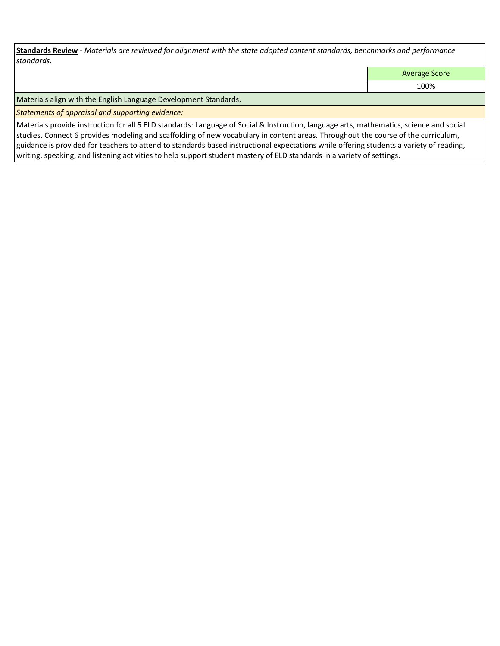**Standards Review** *- Materials are reviewed for alignment with the state adopted content standards, benchmarks and performance standards.*

Average Score

100%

Materials align with the English Language Development Standards.

*Statements of appraisal and supporting evidence:* 

Materials provide instruction for all 5 ELD standards: Language of Social & Instruction, language arts, mathematics, science and social studies. Connect 6 provides modeling and scaffolding of new vocabulary in content areas. Throughout the course of the curriculum, guidance is provided for teachers to attend to standards based instructional expectations while offering students a variety of reading, writing, speaking, and listening activities to help support student mastery of ELD standards in a variety of settings.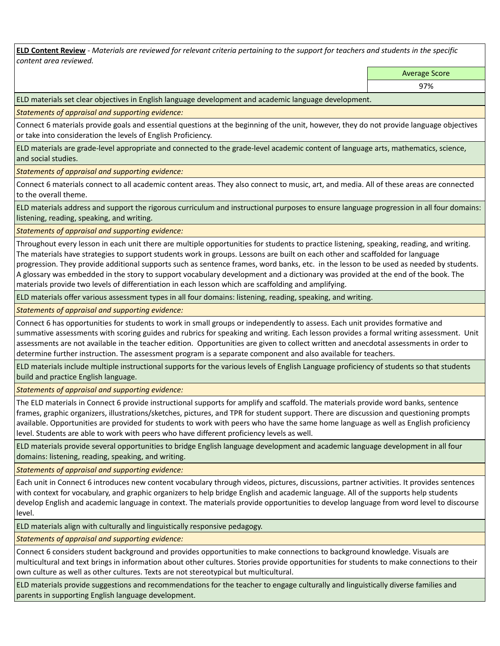**ELD Content Review** *- Materials are reviewed for relevant criteria pertaining to the support for teachers and students in the specific content area reviewed.*

Average Score

ELD materials set clear objectives in English language development and academic language development.

*Statements of appraisal and supporting evidence:* 

Connect 6 materials provide goals and essential questions at the beginning of the unit, however, they do not provide language objectives or take into consideration the levels of English Proficiency.

ELD materials are grade-level appropriate and connected to the grade-level academic content of language arts, mathematics, science, and social studies.

*Statements of appraisal and supporting evidence:* 

Connect 6 materials connect to all academic content areas. They also connect to music, art, and media. All of these areas are connected to the overall theme.

ELD materials address and support the rigorous curriculum and instructional purposes to ensure language progression in all four domains: listening, reading, speaking, and writing.

*Statements of appraisal and supporting evidence:* 

Throughout every lesson in each unit there are multiple opportunities for students to practice listening, speaking, reading, and writing. The materials have strategies to support students work in groups. Lessons are built on each other and scaffolded for language progression. They provide additional supports such as sentence frames, word banks, etc. in the lesson to be used as needed by students. A glossary was embedded in the story to support vocabulary development and a dictionary was provided at the end of the book. The materials provide two levels of differentiation in each lesson which are scaffolding and amplifying.

ELD materials offer various assessment types in all four domains: listening, reading, speaking, and writing.

*Statements of appraisal and supporting evidence:* 

Connect 6 has opportunities for students to work in small groups or independently to assess. Each unit provides formative and summative assessments with scoring guides and rubrics for speaking and writing. Each lesson provides a formal writing assessment. Unit assessments are not available in the teacher edition. Opportunities are given to collect written and anecdotal assessments in order to determine further instruction. The assessment program is a separate component and also available for teachers.

ELD materials include multiple instructional supports for the various levels of English Language proficiency of students so that students build and practice English language.

*Statements of appraisal and supporting evidence:* 

The ELD materials in Connect 6 provide instructional supports for amplify and scaffold. The materials provide word banks, sentence frames, graphic organizers, illustrations/sketches, pictures, and TPR for student support. There are discussion and questioning prompts available. Opportunities are provided for students to work with peers who have the same home language as well as English proficiency level. Students are able to work with peers who have different proficiency levels as well.

ELD materials provide several opportunities to bridge English language development and academic language development in all four domains: listening, reading, speaking, and writing.

*Statements of appraisal and supporting evidence:* 

Each unit in Connect 6 introduces new content vocabulary through videos, pictures, discussions, partner activities. It provides sentences with context for vocabulary, and graphic organizers to help bridge English and academic language. All of the supports help students develop English and academic language in context. The materials provide opportunities to develop language from word level to discourse level.

ELD materials align with culturally and linguistically responsive pedagogy.

*Statements of appraisal and supporting evidence:* 

Connect 6 considers student background and provides opportunities to make connections to background knowledge. Visuals are multicultural and text brings in information about other cultures. Stories provide opportunities for students to make connections to their own culture as well as other cultures. Texts are not stereotypical but multicultural.

ELD materials provide suggestions and recommendations for the teacher to engage culturally and linguistically diverse families and parents in supporting English language development.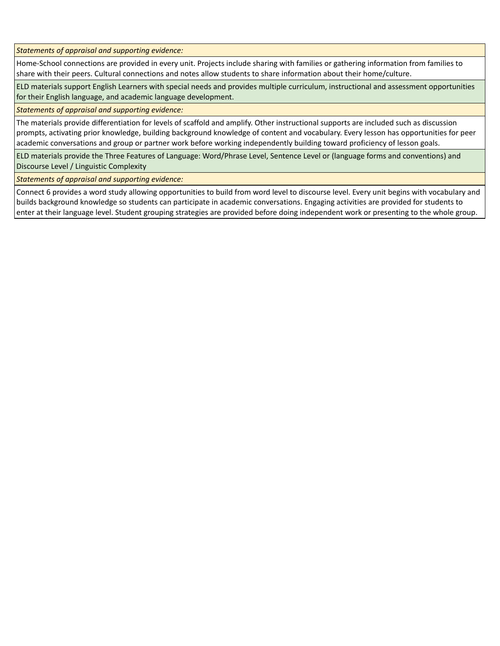*Statements of appraisal and supporting evidence:* 

Home-School connections are provided in every unit. Projects include sharing with families or gathering information from families to share with their peers. Cultural connections and notes allow students to share information about their home/culture.

ELD materials support English Learners with special needs and provides multiple curriculum, instructional and assessment opportunities for their English language, and academic language development.

*Statements of appraisal and supporting evidence:* 

The materials provide differentiation for levels of scaffold and amplify. Other instructional supports are included such as discussion prompts, activating prior knowledge, building background knowledge of content and vocabulary. Every lesson has opportunities for peer academic conversations and group or partner work before working independently building toward proficiency of lesson goals.

ELD materials provide the Three Features of Language: Word/Phrase Level, Sentence Level or (language forms and conventions) and Discourse Level / Linguistic Complexity

*Statements of appraisal and supporting evidence:* 

Connect 6 provides a word study allowing opportunities to build from word level to discourse level. Every unit begins with vocabulary and builds background knowledge so students can participate in academic conversations. Engaging activities are provided for students to enter at their language level. Student grouping strategies are provided before doing independent work or presenting to the whole group.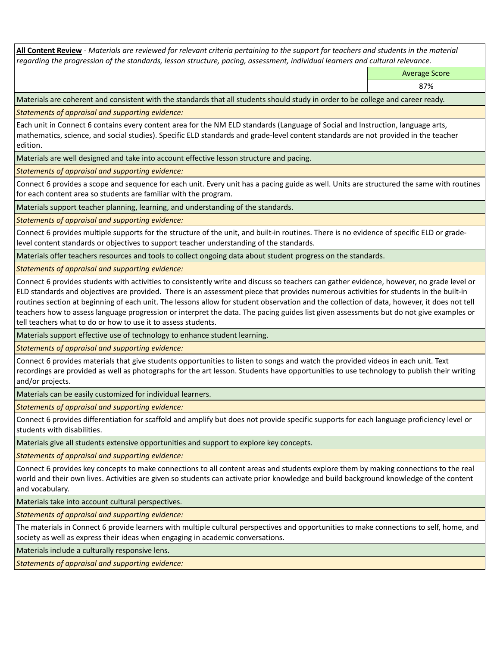**All Content Review** *- Materials are reviewed for relevant criteria pertaining to the support for teachers and students in the material regarding the progression of the standards, lesson structure, pacing, assessment, individual learners and cultural relevance.*

Average Score

87%

Materials are coherent and consistent with the standards that all students should study in order to be college and career ready.

*Statements of appraisal and supporting evidence:*

Each unit in Connect 6 contains every content area for the NM ELD standards (Language of Social and Instruction, language arts, mathematics, science, and social studies). Specific ELD standards and grade-level content standards are not provided in the teacher edition.

Materials are well designed and take into account effective lesson structure and pacing.

*Statements of appraisal and supporting evidence:*

Connect 6 provides a scope and sequence for each unit. Every unit has a pacing guide as well. Units are structured the same with routines for each content area so students are familiar with the program.

Materials support teacher planning, learning, and understanding of the standards.

*Statements of appraisal and supporting evidence:*

Connect 6 provides multiple supports for the structure of the unit, and built-in routines. There is no evidence of specific ELD or gradelevel content standards or objectives to support teacher understanding of the standards.

Materials offer teachers resources and tools to collect ongoing data about student progress on the standards.

*Statements of appraisal and supporting evidence:*

Connect 6 provides students with activities to consistently write and discuss so teachers can gather evidence, however, no grade level or ELD standards and objectives are provided. There is an assessment piece that provides numerous activities for students in the built-in routines section at beginning of each unit. The lessons allow for student observation and the collection of data, however, it does not tell teachers how to assess language progression or interpret the data. The pacing guides list given assessments but do not give examples or tell teachers what to do or how to use it to assess students.

Materials support effective use of technology to enhance student learning.

*Statements of appraisal and supporting evidence:*

Connect 6 provides materials that give students opportunities to listen to songs and watch the provided videos in each unit. Text recordings are provided as well as photographs for the art lesson. Students have opportunities to use technology to publish their writing and/or projects.

Materials can be easily customized for individual learners.

*Statements of appraisal and supporting evidence:* 

Connect 6 provides differentiation for scaffold and amplify but does not provide specific supports for each language proficiency level or students with disabilities.

Materials give all students extensive opportunities and support to explore key concepts.

*Statements of appraisal and supporting evidence:*

Connect 6 provides key concepts to make connections to all content areas and students explore them by making connections to the real world and their own lives. Activities are given so students can activate prior knowledge and build background knowledge of the content and vocabulary.

Materials take into account cultural perspectives.

*Statements of appraisal and supporting evidence:*

The materials in Connect 6 provide learners with multiple cultural perspectives and opportunities to make connections to self, home, and society as well as express their ideas when engaging in academic conversations.

Materials include a culturally responsive lens.

*Statements of appraisal and supporting evidence:*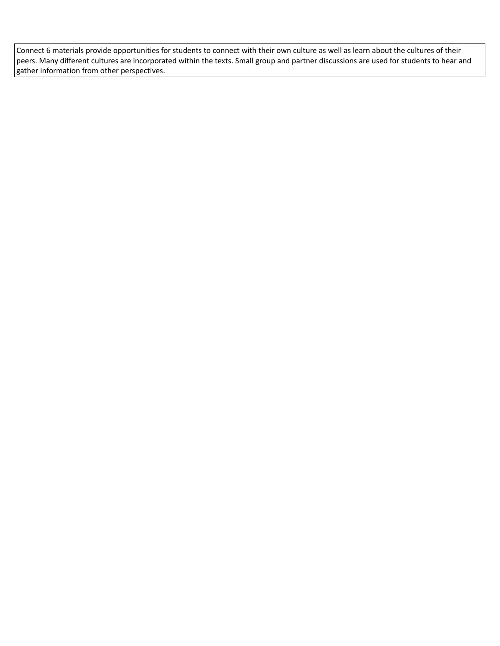Connect 6 materials provide opportunities for students to connect with their own culture as well as learn about the cultures of their peers. Many different cultures are incorporated within the texts. Small group and partner discussions are used for students to hear and gather information from other perspectives.